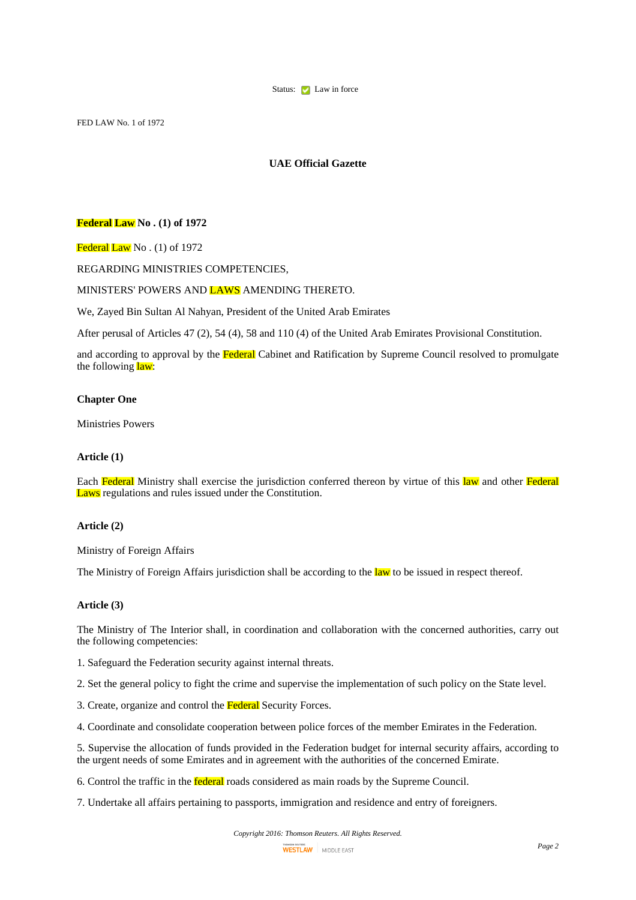

FED LAW No. 1 of 1972

# **UAE Official Gazette**

## **Federal Law No . (1) of 1972**

Federal Law No. (1) of 1972

# REGARDING MINISTRIES COMPETENCIES,

# MINISTERS' POWERS AND LAWS AMENDING THERETO.

We, Zayed Bin Sultan Al Nahyan, President of the United Arab Emirates

After perusal of Articles 47 (2), 54 (4), 58 and 110 (4) of the United Arab Emirates Provisional Constitution.

and according to approval by the Federal Cabinet and Ratification by Supreme Council resolved to promulgate the following law:

# **Chapter One**

Ministries Powers

## **Article (1)**

Each Federal Ministry shall exercise the jurisdiction conferred thereon by virtue of this law and other Federal Laws regulations and rules issued under the Constitution.

# **Article (2)**

Ministry of Foreign Affairs

The Ministry of Foreign Affairs jurisdiction shall be according to the law to be issued in respect thereof.

# **Article (3)**

The Ministry of The Interior shall, in coordination and collaboration with the concerned authorities, carry out the following competencies:

1. Safeguard the Federation security against internal threats.

2. Set the general policy to fight the crime and supervise the implementation of such policy on the State level.

3. Create, organize and control the Federal Security Forces.

4. Coordinate and consolidate cooperation between police forces of the member Emirates in the Federation.

5. Supervise the allocation of funds provided in the Federation budget for internal security affairs, according to the urgent needs of some Emirates and in agreement with the authorities of the concerned Emirate.

6. Control the traffic in the federal roads considered as main roads by the Supreme Council.

7. Undertake all affairs pertaining to passports, immigration and residence and entry of foreigners.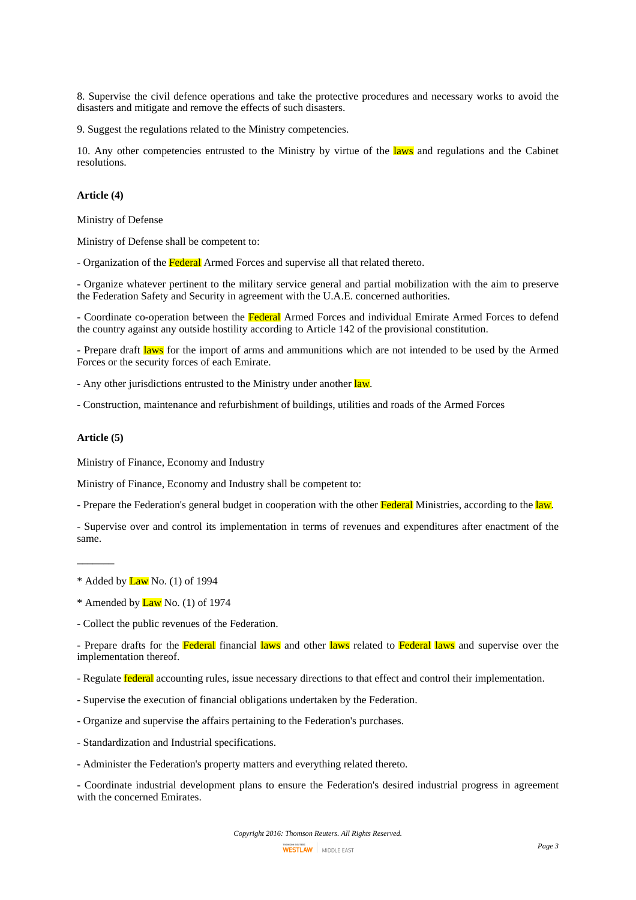8. Supervise the civil defence operations and take the protective procedures and necessary works to avoid the disasters and mitigate and remove the effects of such disasters.

9. Suggest the regulations related to the Ministry competencies.

10. Any other competencies entrusted to the Ministry by virtue of the laws and regulations and the Cabinet resolutions.

## **Article (4)**

Ministry of Defense

Ministry of Defense shall be competent to:

- Organization of the Federal Armed Forces and supervise all that related thereto.

- Organize whatever pertinent to the military service general and partial mobilization with the aim to preserve the Federation Safety and Security in agreement with the U.A.E. concerned authorities.

- Coordinate co-operation between the Federal Armed Forces and individual Emirate Armed Forces to defend the country against any outside hostility according to Article 142 of the provisional constitution.

- Prepare draft laws for the import of arms and ammunitions which are not intended to be used by the Armed Forces or the security forces of each Emirate.

- Any other jurisdictions entrusted to the Ministry under another law.

- Construction, maintenance and refurbishment of buildings, utilities and roads of the Armed Forces

# **Article (5)**

 $\overline{\phantom{a}}$ 

Ministry of Finance, Economy and Industry

Ministry of Finance, Economy and Industry shall be competent to:

- Prepare the Federation's general budget in cooperation with the other Federal Ministries, according to the law.

- Supervise over and control its implementation in terms of revenues and expenditures after enactment of the same.

- Prepare drafts for the Federal financial laws and other laws related to Federal laws and supervise over the implementation thereof.

- Supervise the execution of financial obligations undertaken by the Federation.
- Organize and supervise the affairs pertaining to the Federation's purchases.
- Standardization and Industrial specifications.
- Administer the Federation's property matters and everything related thereto.

- Coordinate industrial development plans to ensure the Federation's desired industrial progress in agreement with the concerned Emirates.

 $*$  Added by  $Law$  No. (1) of 1994

 $*$  Amended by  $Law$  No. (1) of 1974

<sup>-</sup> Collect the public revenues of the Federation.

<sup>-</sup> Regulate **federal** accounting rules, issue necessary directions to that effect and control their implementation.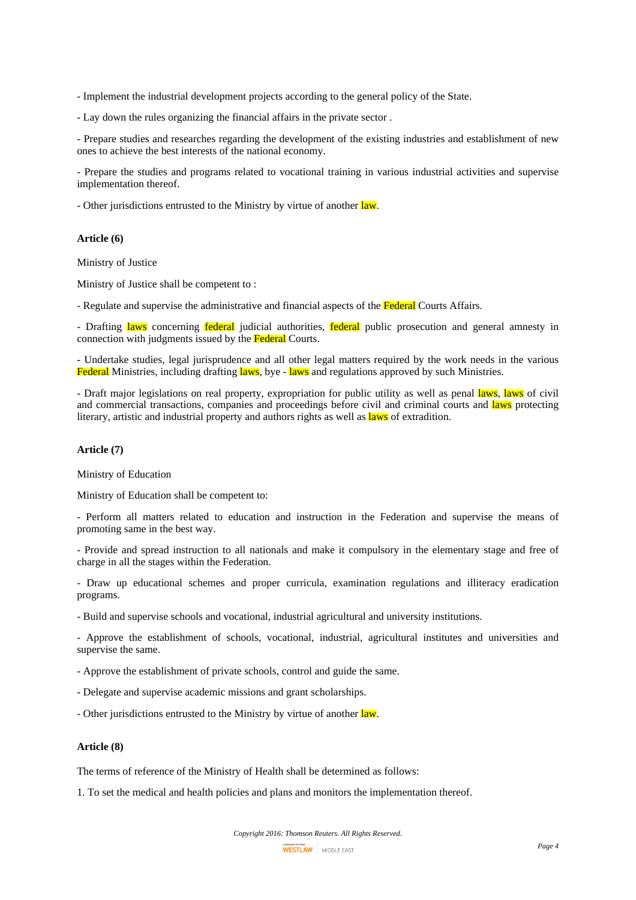- Implement the industrial development projects according to the general policy of the State.

- Lay down the rules organizing the financial affairs in the private sector .

- Prepare studies and researches regarding the development of the existing industries and establishment of new ones to achieve the best interests of the national economy.

- Prepare the studies and programs related to vocational training in various industrial activities and supervise implementation thereof.

- Other jurisdictions entrusted to the Ministry by virtue of another law.

#### **Article (6)**

Ministry of Justice

Ministry of Justice shall be competent to :

- Regulate and supervise the administrative and financial aspects of the Federal Courts Affairs.

- Drafting laws concerning federal judicial authorities, federal public prosecution and general amnesty in connection with judgments issued by the Federal Courts.

- Undertake studies, legal jurisprudence and all other legal matters required by the work needs in the various Federal Ministries, including drafting laws, bye - laws and regulations approved by such Ministries.

- Draft major legislations on real property, expropriation for public utility as well as penal laws, laws of civil and commercial transactions, companies and proceedings before civil and criminal courts and laws protecting literary, artistic and industrial property and authors rights as well as laws of extradition.

# **Article (7)**

Ministry of Education

Ministry of Education shall be competent to:

- Perform all matters related to education and instruction in the Federation and supervise the means of promoting same in the best way.

- Provide and spread instruction to all nationals and make it compulsory in the elementary stage and free of charge in all the stages within the Federation.

- Draw up educational schemes and proper curricula, examination regulations and illiteracy eradication programs.

- Build and supervise schools and vocational, industrial agricultural and university institutions.

- Approve the establishment of schools, vocational, industrial, agricultural institutes and universities and supervise the same.

- Approve the establishment of private schools, control and guide the same.

- Delegate and supervise academic missions and grant scholarships.

- Other jurisdictions entrusted to the Ministry by virtue of another law.

## **Article (8)**

The terms of reference of the Ministry of Health shall be determined as follows:

1. To set the medical and health policies and plans and monitors the implementation thereof.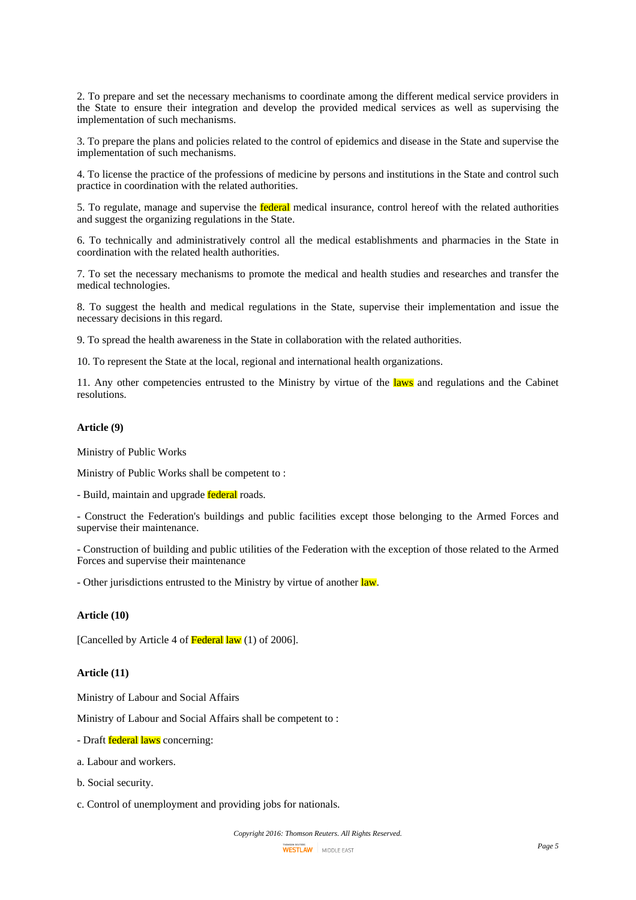2. To prepare and set the necessary mechanisms to coordinate among the different medical service providers in the State to ensure their integration and develop the provided medical services as well as supervising the implementation of such mechanisms.

3. To prepare the plans and policies related to the control of epidemics and disease in the State and supervise the implementation of such mechanisms.

4. To license the practice of the professions of medicine by persons and institutions in the State and control such practice in coordination with the related authorities.

5. To regulate, manage and supervise the federal medical insurance, control hereof with the related authorities and suggest the organizing regulations in the State.

6. To technically and administratively control all the medical establishments and pharmacies in the State in coordination with the related health authorities.

7. To set the necessary mechanisms to promote the medical and health studies and researches and transfer the medical technologies.

8. To suggest the health and medical regulations in the State, supervise their implementation and issue the necessary decisions in this regard.

9. To spread the health awareness in the State in collaboration with the related authorities.

10. To represent the State at the local, regional and international health organizations.

11. Any other competencies entrusted to the Ministry by virtue of the laws and regulations and the Cabinet resolutions.

## **Article (9)**

Ministry of Public Works

Ministry of Public Works shall be competent to :

- Build, maintain and upgrade **federal** roads.

- Construct the Federation's buildings and public facilities except those belonging to the Armed Forces and supervise their maintenance.

- Construction of building and public utilities of the Federation with the exception of those related to the Armed Forces and supervise their maintenance

- Other jurisdictions entrusted to the Ministry by virtue of another law.

# **Article (10)**

[Cancelled by Article 4 of Federal law (1) of 2006].

# **Article (11)**

Ministry of Labour and Social Affairs

Ministry of Labour and Social Affairs shall be competent to :

- Draft **federal laws** concerning:

- a. Labour and workers.
- b. Social security.
- c. Control of unemployment and providing jobs for nationals.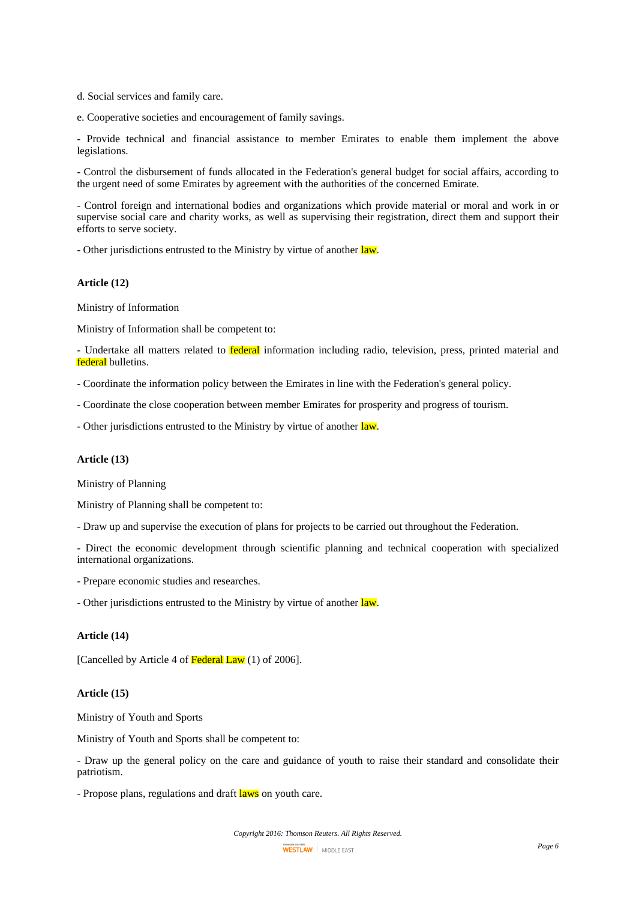d. Social services and family care.

e. Cooperative societies and encouragement of family savings.

- Provide technical and financial assistance to member Emirates to enable them implement the above legislations.

- Control the disbursement of funds allocated in the Federation's general budget for social affairs, according to the urgent need of some Emirates by agreement with the authorities of the concerned Emirate.

- Control foreign and international bodies and organizations which provide material or moral and work in or supervise social care and charity works, as well as supervising their registration, direct them and support their efforts to serve society.

- Other jurisdictions entrusted to the Ministry by virtue of another law.

#### **Article (12)**

Ministry of Information

Ministry of Information shall be competent to:

- Undertake all matters related to **federal** information including radio, television, press, printed material and federal bulletins.

- Coordinate the information policy between the Emirates in line with the Federation's general policy.

- Coordinate the close cooperation between member Emirates for prosperity and progress of tourism.

- Other jurisdictions entrusted to the Ministry by virtue of another law.

#### **Article (13)**

Ministry of Planning

Ministry of Planning shall be competent to:

- Draw up and supervise the execution of plans for projects to be carried out throughout the Federation.

- Direct the economic development through scientific planning and technical cooperation with specialized international organizations.

- Prepare economic studies and researches.

- Other jurisdictions entrusted to the Ministry by virtue of another law.

#### **Article (14)**

[Cancelled by Article 4 of Federal Law (1) of 2006].

#### **Article (15)**

Ministry of Youth and Sports

Ministry of Youth and Sports shall be competent to:

- Draw up the general policy on the care and guidance of youth to raise their standard and consolidate their patriotism.

- Propose plans, regulations and draft laws on youth care.

*Copyright 2016: Thomson Reuters. All Rights Reserved.*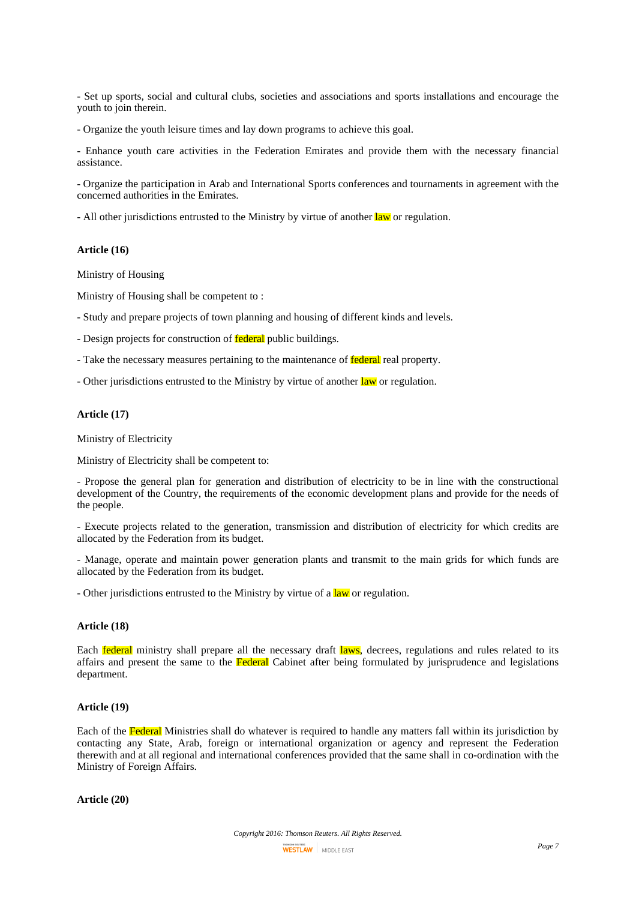- Set up sports, social and cultural clubs, societies and associations and sports installations and encourage the youth to join therein.

- Organize the youth leisure times and lay down programs to achieve this goal.

- Enhance youth care activities in the Federation Emirates and provide them with the necessary financial assistance.

- Organize the participation in Arab and International Sports conferences and tournaments in agreement with the concerned authorities in the Emirates.

- All other jurisdictions entrusted to the Ministry by virtue of another law or regulation.

### **Article (16)**

Ministry of Housing

Ministry of Housing shall be competent to :

- Study and prepare projects of town planning and housing of different kinds and levels.
- Design projects for construction of **federal** public buildings.
- Take the necessary measures pertaining to the maintenance of **federal** real property.
- Other jurisdictions entrusted to the Ministry by virtue of another law or regulation.

## **Article (17)**

Ministry of Electricity

Ministry of Electricity shall be competent to:

- Propose the general plan for generation and distribution of electricity to be in line with the constructional development of the Country, the requirements of the economic development plans and provide for the needs of the people.

- Execute projects related to the generation, transmission and distribution of electricity for which credits are allocated by the Federation from its budget.

- Manage, operate and maintain power generation plants and transmit to the main grids for which funds are allocated by the Federation from its budget.

- Other jurisdictions entrusted to the Ministry by virtue of a law or regulation.

# **Article (18)**

Each **federal** ministry shall prepare all the necessary draft laws, decrees, regulations and rules related to its affairs and present the same to the Federal Cabinet after being formulated by jurisprudence and legislations department.

#### **Article (19)**

Each of the Federal Ministries shall do whatever is required to handle any matters fall within its jurisdiction by contacting any State, Arab, foreign or international organization or agency and represent the Federation therewith and at all regional and international conferences provided that the same shall in co-ordination with the Ministry of Foreign Affairs.

**Article (20)**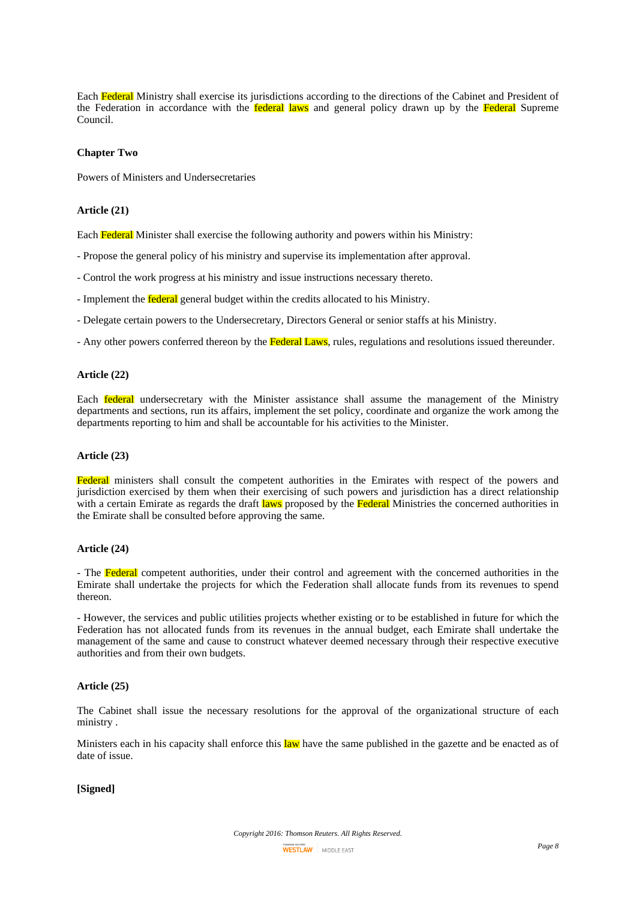Each Federal Ministry shall exercise its jurisdictions according to the directions of the Cabinet and President of the Federation in accordance with the **federal laws** and general policy drawn up by the **Federal** Supreme Council.

# **Chapter Two**

Powers of Ministers and Undersecretaries

# **Article (21)**

Each Federal Minister shall exercise the following authority and powers within his Ministry:

- Propose the general policy of his ministry and supervise its implementation after approval.
- Control the work progress at his ministry and issue instructions necessary thereto.
- Implement the **federal** general budget within the credits allocated to his Ministry.
- Delegate certain powers to the Undersecretary, Directors General or senior staffs at his Ministry.
- Any other powers conferred thereon by the **Federal Laws**, rules, regulations and resolutions issued thereunder.

## **Article (22)**

Each federal undersecretary with the Minister assistance shall assume the management of the Ministry departments and sections, run its affairs, implement the set policy, coordinate and organize the work among the departments reporting to him and shall be accountable for his activities to the Minister.

### **Article (23)**

Federal ministers shall consult the competent authorities in the Emirates with respect of the powers and jurisdiction exercised by them when their exercising of such powers and jurisdiction has a direct relationship with a certain Emirate as regards the draft laws proposed by the Federal Ministries the concerned authorities in the Emirate shall be consulted before approving the same.

### **Article (24)**

- The Federal competent authorities, under their control and agreement with the concerned authorities in the Emirate shall undertake the projects for which the Federation shall allocate funds from its revenues to spend thereon.

- However, the services and public utilities projects whether existing or to be established in future for which the Federation has not allocated funds from its revenues in the annual budget, each Emirate shall undertake the management of the same and cause to construct whatever deemed necessary through their respective executive authorities and from their own budgets.

### **Article (25)**

The Cabinet shall issue the necessary resolutions for the approval of the organizational structure of each ministry .

Ministers each in his capacity shall enforce this law have the same published in the gazette and be enacted as of date of issue.

**[Signed]**